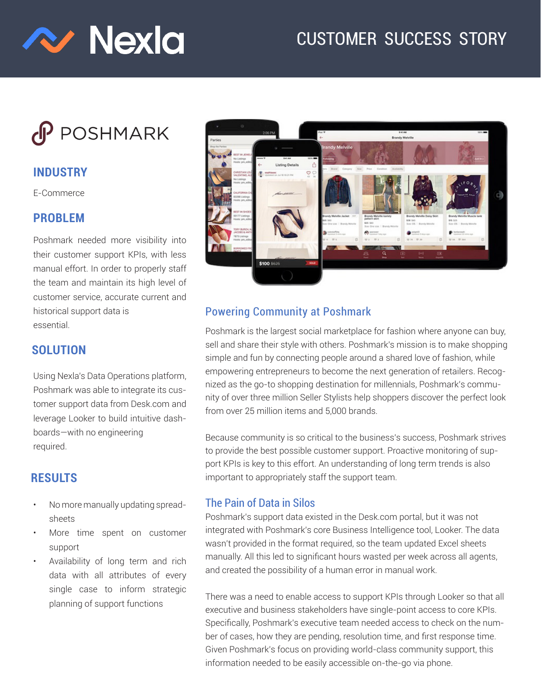

# CUSTOMER SUCCESS STORY

# $\mathsf{C}$ POSHMARK

### **INDUSTRY**

E-Commerce

#### **PROBLEM**

Poshmark needed more visibility into their customer support KPIs, with less manual effort. In order to properly staff the team and maintain its high level of customer service, accurate current and historical support data is essential.

#### **SOLUTION**

Using Nexla's Data Operations platform, Poshmark was able to integrate its customer support data from Desk.com and leverage Looker to build intuitive dashboards—with no engineering required.

## **RESULTS**

- No more manually updating spreadsheets
- More time spent on customer support
- Availability of long term and rich data with all attributes of every single case to inform strategic planning of support functions



#### Powering Community at Poshmark

Poshmark is the largest social marketplace for fashion where anyone can buy, sell and share their style with others. Poshmark's mission is to make shopping simple and fun by connecting people around a shared love of fashion, while empowering entrepreneurs to become the next generation of retailers. Recognized as the go-to shopping destination for millennials, Poshmark's community of over three million Seller Stylists help shoppers discover the perfect look from over 25 million items and 5,000 brands.

Because community is so critical to the business's success, Poshmark strives to provide the best possible customer support. Proactive monitoring of support KPIs is key to this effort. An understanding of long term trends is also important to appropriately staff the support team.

#### The Pain of Data in Silos

Poshmark's support data existed in the Desk.com portal, but it was not integrated with Poshmark's core Business Intelligence tool, Looker. The data wasn't provided in the format required, so the team updated Excel sheets manually. All this led to significant hours wasted per week across all agents, and created the possibility of a human error in manual work.

There was a need to enable access to support KPIs through Looker so that all executive and business stakeholders have single-point access to core KPIs. Specifically, Poshmark's executive team needed access to check on the number of cases, how they are pending, resolution time, and first response time. Given Poshmark's focus on providing world-class community support, this information needed to be easily accessible on-the-go via phone.